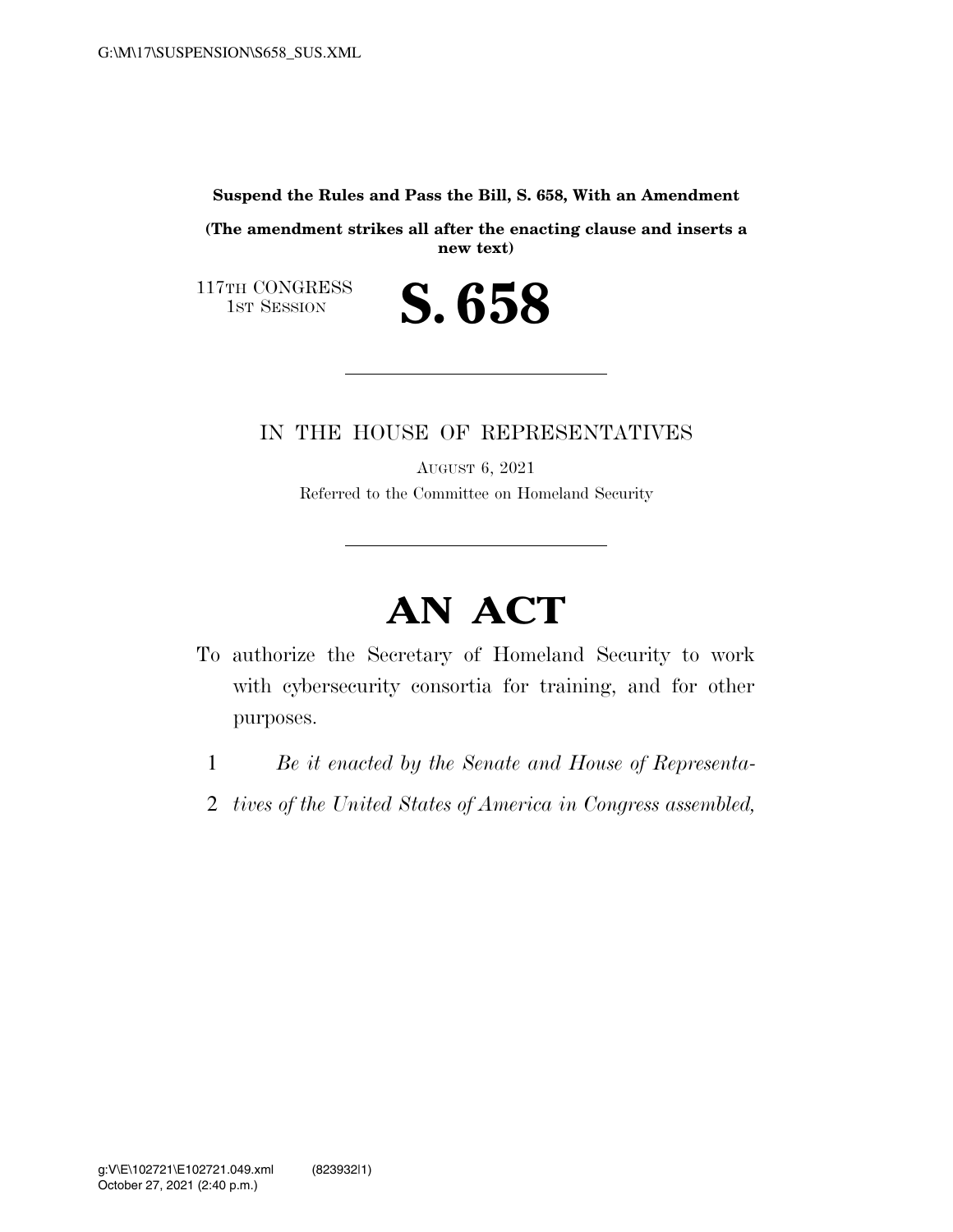**Suspend the Rules and Pass the Bill, S. 658, With an Amendment** 

**(The amendment strikes all after the enacting clause and inserts a new text)** 

S. 658

117TH CONGRESS<br>1st Session

## IN THE HOUSE OF REPRESENTATIVES

AUGUST 6, 2021 Referred to the Committee on Homeland Security

## **AN ACT**

- To authorize the Secretary of Homeland Security to work with cybersecurity consortia for training, and for other purposes.
	- 1 *Be it enacted by the Senate and House of Representa-*
	- 2 *tives of the United States of America in Congress assembled,*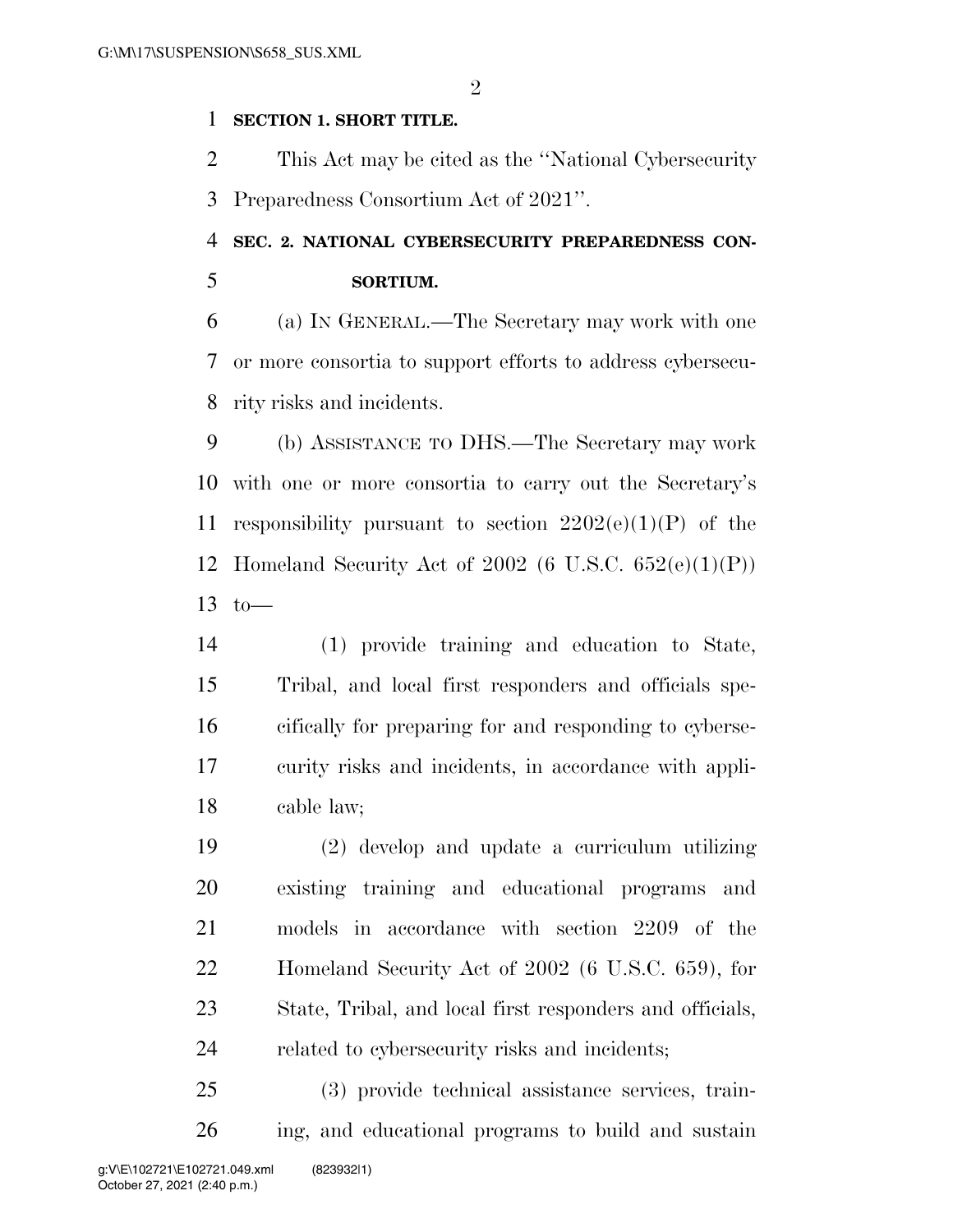$\mathfrak{D}$ 

## **SECTION 1. SHORT TITLE.**

 This Act may be cited as the ''National Cybersecurity Preparedness Consortium Act of 2021''.

## **SEC. 2. NATIONAL CYBERSECURITY PREPAREDNESS CON-SORTIUM.**

 (a) IN GENERAL.—The Secretary may work with one or more consortia to support efforts to address cybersecu-rity risks and incidents.

 (b) ASSISTANCE TO DHS.—The Secretary may work with one or more consortia to carry out the Secretary's 11 responsibility pursuant to section  $2202(e)(1)(P)$  of the Homeland Security Act of 2002 (6 U.S.C. 652(e)(1)(P)) to—

 (1) provide training and education to State, Tribal, and local first responders and officials spe- cifically for preparing for and responding to cyberse- curity risks and incidents, in accordance with appli-cable law;

 (2) develop and update a curriculum utilizing existing training and educational programs and models in accordance with section 2209 of the Homeland Security Act of 2002 (6 U.S.C. 659), for State, Tribal, and local first responders and officials, related to cybersecurity risks and incidents;

 (3) provide technical assistance services, train-ing, and educational programs to build and sustain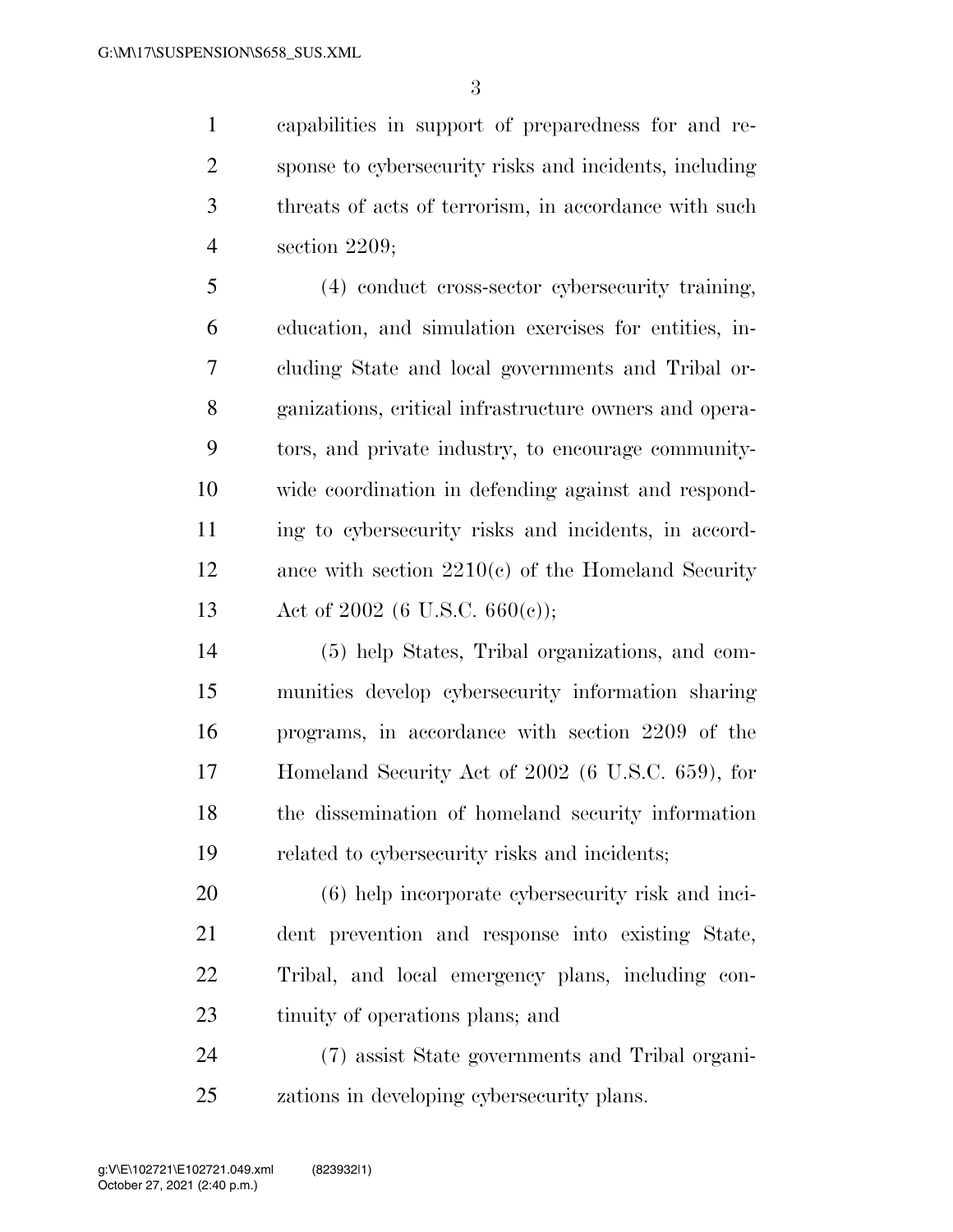capabilities in support of preparedness for and re- sponse to cybersecurity risks and incidents, including threats of acts of terrorism, in accordance with such section 2209;

 (4) conduct cross-sector cybersecurity training, education, and simulation exercises for entities, in- cluding State and local governments and Tribal or- ganizations, critical infrastructure owners and opera- tors, and private industry, to encourage community- wide coordination in defending against and respond- ing to cybersecurity risks and incidents, in accord- ance with section 2210(c) of the Homeland Security Act of 2002 (6 U.S.C. 660(c));

 (5) help States, Tribal organizations, and com- munities develop cybersecurity information sharing programs, in accordance with section 2209 of the Homeland Security Act of 2002 (6 U.S.C. 659), for the dissemination of homeland security information related to cybersecurity risks and incidents;

 (6) help incorporate cybersecurity risk and inci- dent prevention and response into existing State, Tribal, and local emergency plans, including con-tinuity of operations plans; and

 (7) assist State governments and Tribal organi-zations in developing cybersecurity plans.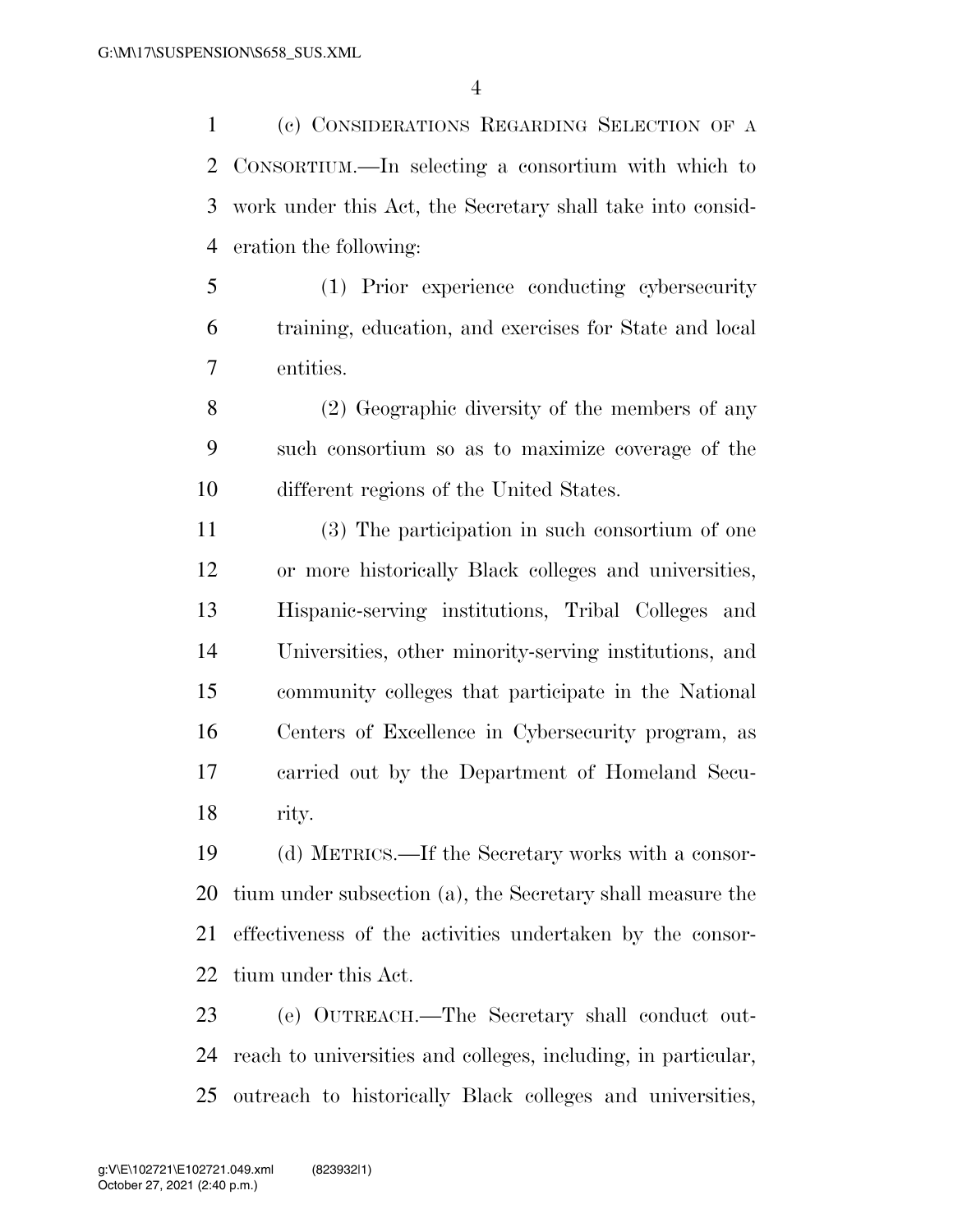(c) CONSIDERATIONS REGARDING SELECTION OF A CONSORTIUM.—In selecting a consortium with which to work under this Act, the Secretary shall take into consid-eration the following:

 (1) Prior experience conducting cybersecurity training, education, and exercises for State and local entities.

 (2) Geographic diversity of the members of any such consortium so as to maximize coverage of the different regions of the United States.

 (3) The participation in such consortium of one or more historically Black colleges and universities, Hispanic-serving institutions, Tribal Colleges and Universities, other minority-serving institutions, and community colleges that participate in the National Centers of Excellence in Cybersecurity program, as carried out by the Department of Homeland Secu-rity.

 (d) METRICS.—If the Secretary works with a consor- tium under subsection (a), the Secretary shall measure the effectiveness of the activities undertaken by the consor-tium under this Act.

 (e) OUTREACH.—The Secretary shall conduct out- reach to universities and colleges, including, in particular, outreach to historically Black colleges and universities,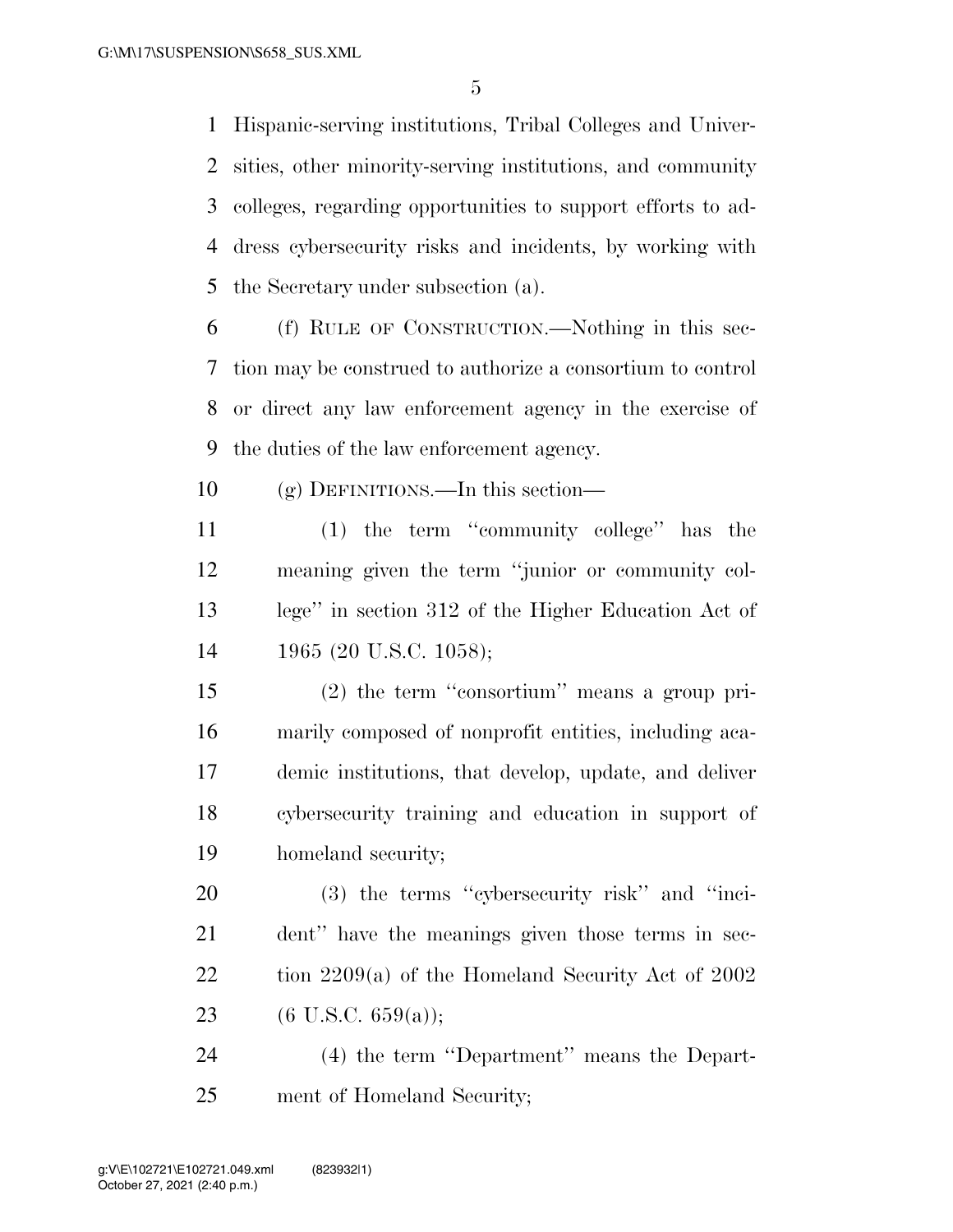Hispanic-serving institutions, Tribal Colleges and Univer- sities, other minority-serving institutions, and community colleges, regarding opportunities to support efforts to ad- dress cybersecurity risks and incidents, by working with the Secretary under subsection (a).

 (f) RULE OF CONSTRUCTION.—Nothing in this sec- tion may be construed to authorize a consortium to control or direct any law enforcement agency in the exercise of the duties of the law enforcement agency.

(g) DEFINITIONS.—In this section—

 (1) the term ''community college'' has the meaning given the term ''junior or community col- lege'' in section 312 of the Higher Education Act of 1965 (20 U.S.C. 1058);

 (2) the term ''consortium'' means a group pri- marily composed of nonprofit entities, including aca- demic institutions, that develop, update, and deliver cybersecurity training and education in support of homeland security;

 (3) the terms ''cybersecurity risk'' and ''inci- dent'' have the meanings given those terms in sec- tion 2209(a) of the Homeland Security Act of 2002 23 (6 U.S.C. 659(a));

 (4) the term ''Department'' means the Depart-ment of Homeland Security;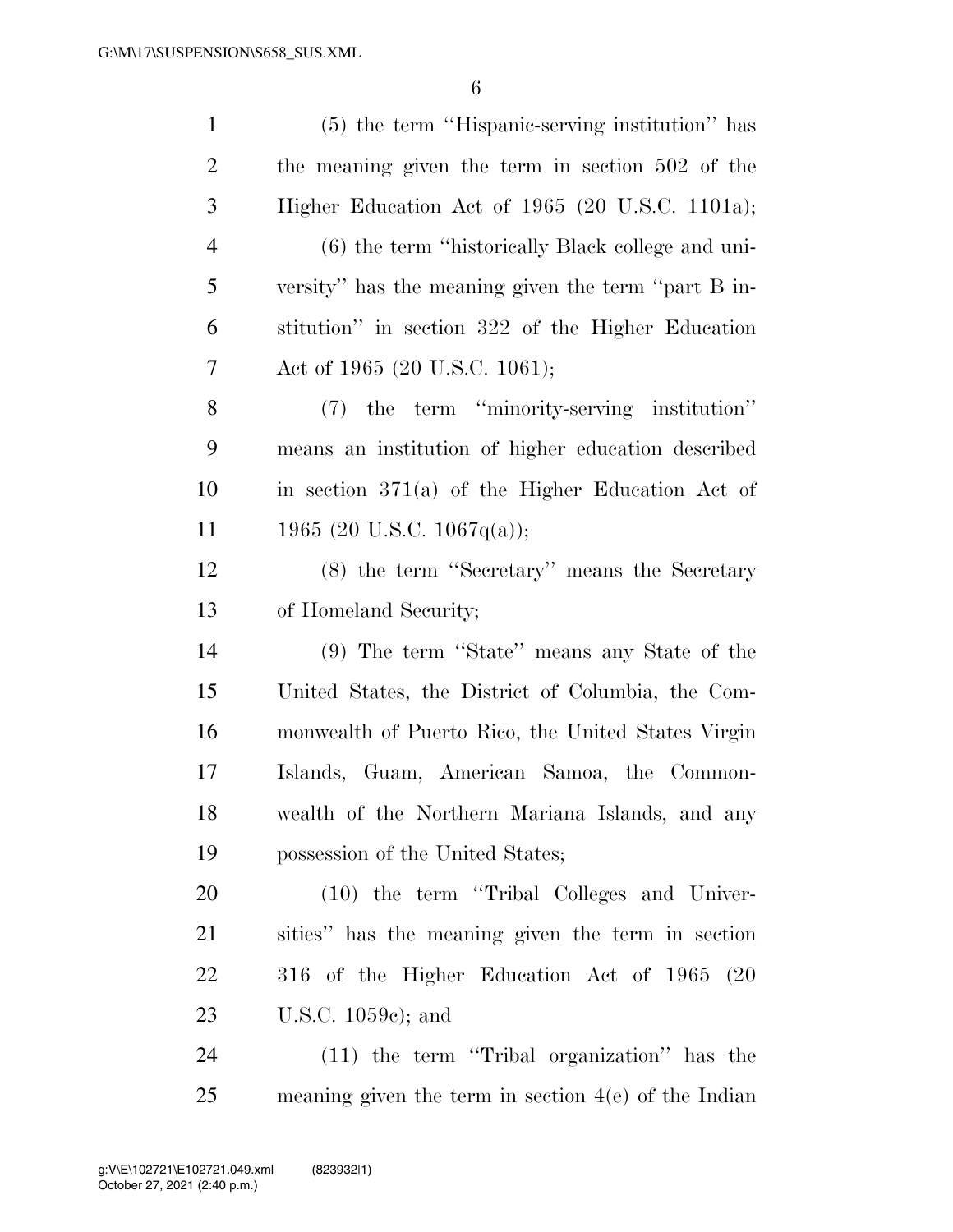| $\mathbf{1}$   | (5) the term "Hispanic-serving institution" has        |
|----------------|--------------------------------------------------------|
| $\overline{c}$ | the meaning given the term in section 502 of the       |
| 3              | Higher Education Act of 1965 (20 U.S.C. 1101a);        |
| $\overline{4}$ | (6) the term "historically Black college and uni-      |
| 5              | versity" has the meaning given the term "part B in-    |
| 6              | stitution" in section 322 of the Higher Education      |
| 7              | Act of 1965 (20 U.S.C. 1061);                          |
| 8              | (7) the term "minority-serving institution"            |
| 9              | means an institution of higher education described     |
| 10             | in section $371(a)$ of the Higher Education Act of     |
| 11             | 1965 (20 U.S.C. 1067q(a));                             |
| 12             | (8) the term "Secretary" means the Secretary           |
| 13             | of Homeland Security;                                  |
| 14             | (9) The term "State" means any State of the            |
| 15             | United States, the District of Columbia, the Com-      |
| 16             | monwealth of Puerto Rico, the United States Virgin     |
| 17             | Islands, Guam, American Samoa, the Common-             |
| 18             | wealth of the Northern Mariana Islands, and any        |
| 19             | possession of the United States;                       |
| 20             | (10) the term "Tribal Colleges and Univer-             |
| 21             | sities" has the meaning given the term in section      |
| 22             | 316 of the Higher Education Act of 1965 (20            |
| 23             | U.S.C. $1059c$ ; and                                   |
| 24             | (11) the term "Tribal organization" has the            |
| 25             | meaning given the term in section $4(e)$ of the Indian |